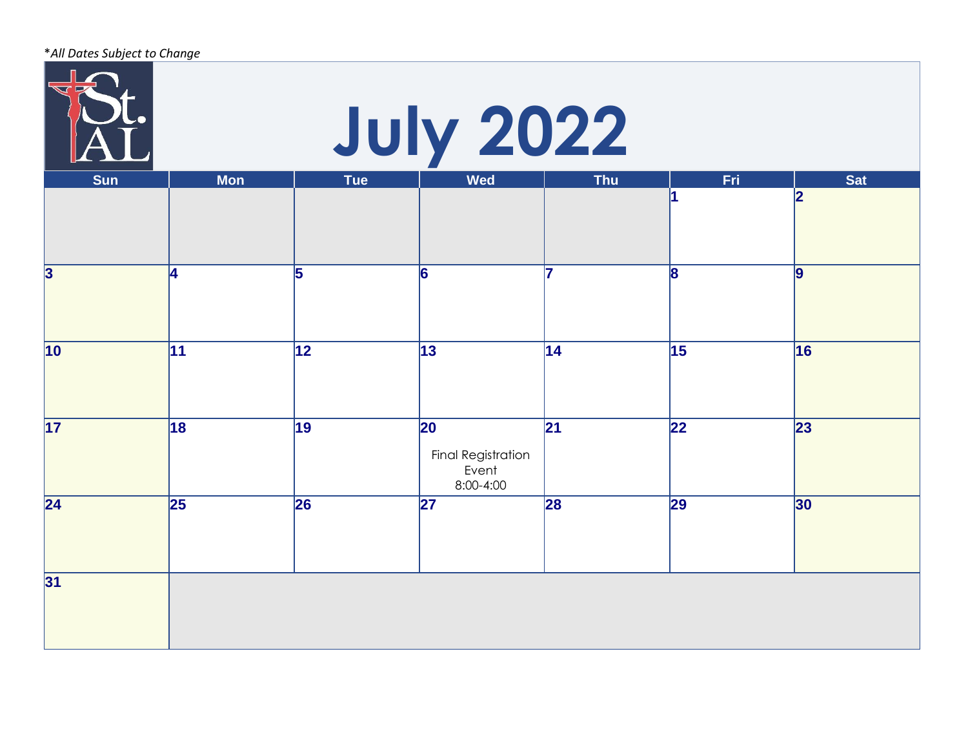| *All Dates Subject to Change |                  |                 |                                                       |            |                 |                 |  |  |
|------------------------------|------------------|-----------------|-------------------------------------------------------|------------|-----------------|-----------------|--|--|
|                              | <b>July 2022</b> |                 |                                                       |            |                 |                 |  |  |
| <b>Sun</b>                   | <b>Mon</b>       | <b>Tue</b>      | <b>Wed</b>                                            | <b>Thu</b> | Fri             | <b>Sat</b>      |  |  |
|                              |                  |                 |                                                       |            |                 | 2               |  |  |
| 3                            | 4                | 5               | 6                                                     |            | 8               | 9               |  |  |
| $\overline{10}$              | $\overline{11}$  | $\overline{12}$ | $\overline{13}$                                       | 14         | $\overline{15}$ | 16              |  |  |
| $\overline{17}$              | $\overline{18}$  | 19              | 20<br><b>Final Registration</b><br>Event<br>8:00-4:00 | 21         | $\overline{22}$ | $\overline{23}$ |  |  |
| $\overline{24}$              | $\overline{25}$  | 26              | 27                                                    | 28         | 29              | 30              |  |  |
| 31                           |                  |                 |                                                       |            |                 |                 |  |  |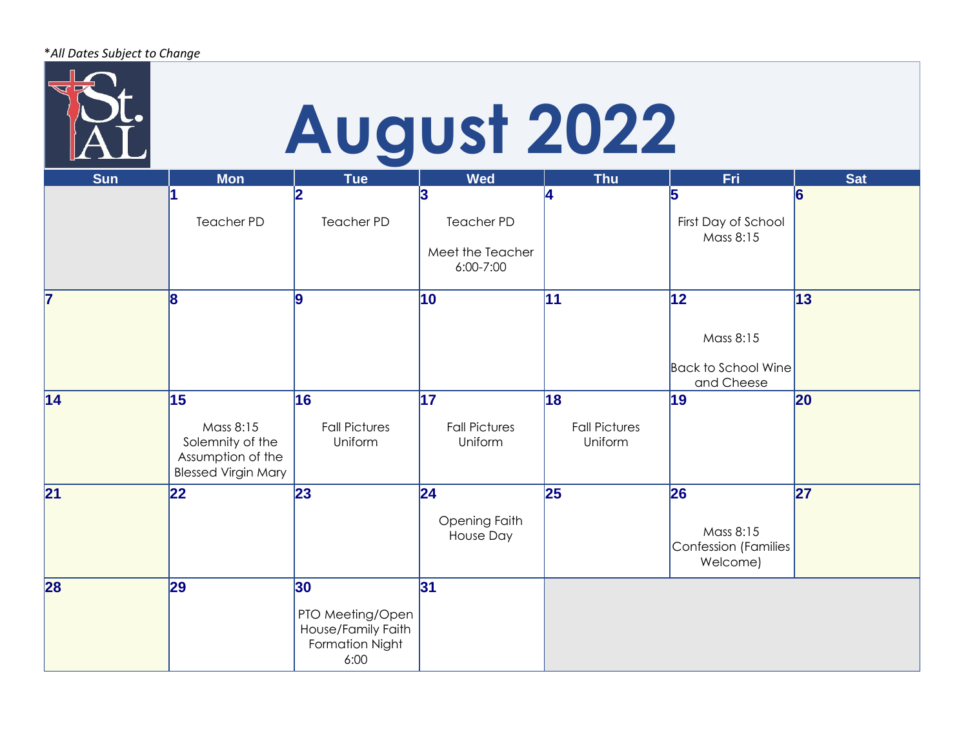|            |                                                                                        | <b>August 2022</b>                                                      |                                                    |                                       |                                                             |                 |
|------------|----------------------------------------------------------------------------------------|-------------------------------------------------------------------------|----------------------------------------------------|---------------------------------------|-------------------------------------------------------------|-----------------|
| <b>Sun</b> | <b>Mon</b>                                                                             | <b>Tue</b><br>2                                                         | <b>Wed</b><br>3                                    | <b>Thu</b>                            | Fri<br>5                                                    | <b>Sat</b><br>6 |
|            | <b>Teacher PD</b>                                                                      | <b>Teacher PD</b>                                                       | <b>Teacher PD</b><br>Meet the Teacher<br>6:00-7:00 |                                       | First Day of School<br>Mass 8:15                            |                 |
| 7          | 8                                                                                      | ۱q                                                                      | 10                                                 | 11                                    | 12<br>Mass 8:15<br><b>Back to School Wine</b><br>and Cheese | $ 13\rangle$    |
| 14         | 15<br>Mass 8:15<br>Solemnity of the<br>Assumption of the<br><b>Blessed Virgin Mary</b> | 16<br><b>Fall Pictures</b><br>Uniform                                   | $\overline{17}$<br><b>Fall Pictures</b><br>Uniform | 18<br><b>Fall Pictures</b><br>Uniform | 19                                                          | 20              |
| 21         | 22                                                                                     | 23                                                                      | 24<br>Opening Faith<br>House Day                   | 25                                    | 26<br>Mass 8:15<br><b>Confession (Families</b><br>Welcome)  | 27              |
| 28         | 29                                                                                     | 30<br>PTO Meeting/Open<br>House/Family Faith<br>Formation Night<br>6:00 | 31                                                 |                                       |                                                             |                 |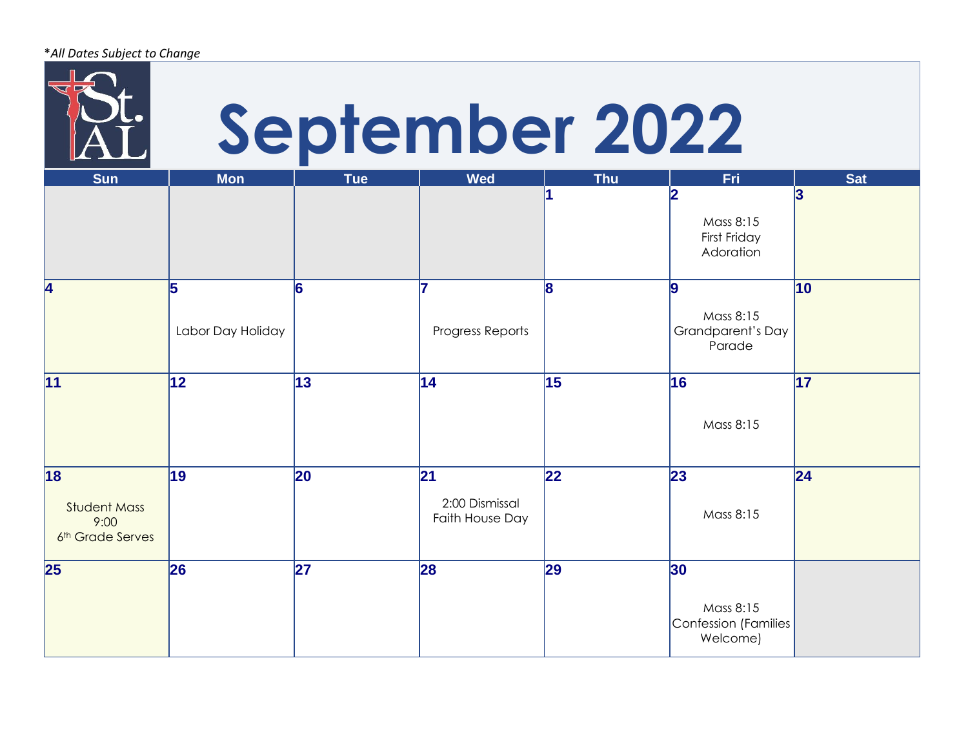|                                                             |                   |            |                                   | September 2022 |                                                      |                 |
|-------------------------------------------------------------|-------------------|------------|-----------------------------------|----------------|------------------------------------------------------|-----------------|
| <b>Sun</b>                                                  | <b>Mon</b>        | <b>Tue</b> | <b>Wed</b>                        | <b>Thu</b>     | Fri<br>2                                             | <b>Sat</b><br>3 |
|                                                             |                   |            |                                   |                | Mass 8:15<br>First Friday<br>Adoration               |                 |
| 4                                                           | 5                 | 6          | 17                                | 18             | 19                                                   | 10              |
|                                                             | Labor Day Holiday |            | Progress Reports                  |                | Mass 8:15<br>Grandparent's Day<br>Parade             |                 |
| 11                                                          | 12                | 13         | 14                                | 15             | 16                                                   | $\overline{17}$ |
|                                                             |                   |            |                                   |                | Mass 8:15                                            |                 |
| 18                                                          | 19                | 20         | 21                                | 22             | 23                                                   | 24              |
| <b>Student Mass</b><br>9:00<br>6 <sup>th</sup> Grade Serves |                   |            | 2:00 Dismissal<br>Faith House Day |                | Mass 8:15                                            |                 |
| 25                                                          | 26                | 27         | 28                                | 29             | 30                                                   |                 |
|                                                             |                   |            |                                   |                | Mass 8:15<br><b>Confession (Families</b><br>Welcome) |                 |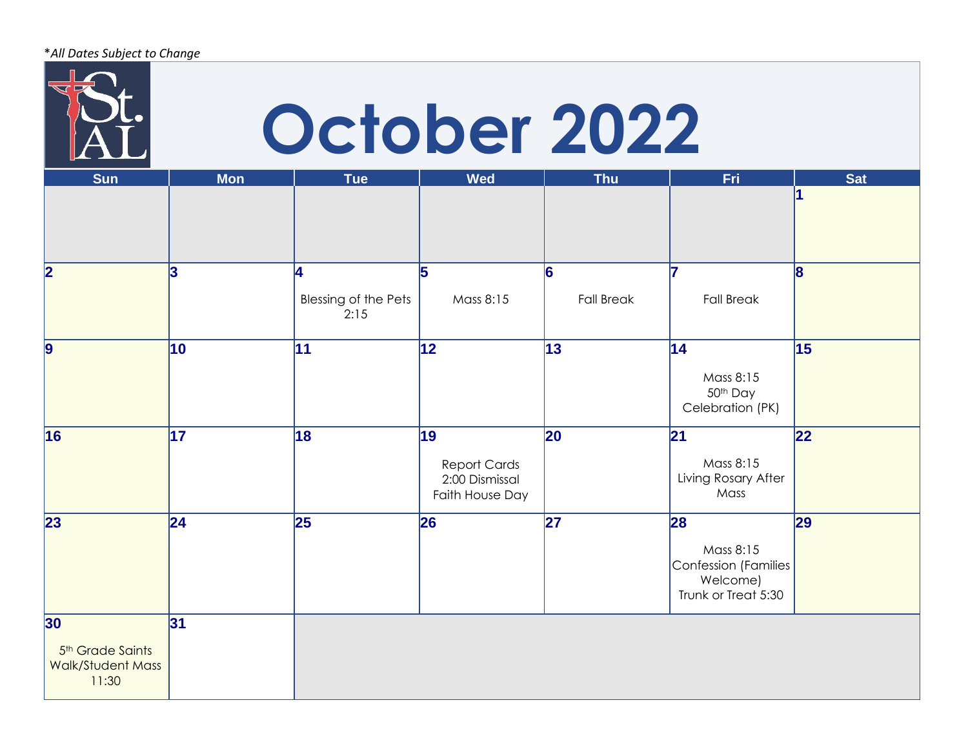|                                                                  |                  | October 2022                       |                                                                |                        |                                                                                   |                 |
|------------------------------------------------------------------|------------------|------------------------------------|----------------------------------------------------------------|------------------------|-----------------------------------------------------------------------------------|-----------------|
| <b>Sun</b>                                                       | <b>Mon</b>       | <b>Tue</b>                         | <b>Wed</b>                                                     | <b>Thu</b>             | Fri                                                                               | <b>Sat</b><br>1 |
| $\overline{\mathbf{2}}$                                          | 3                | Ι4<br>Blessing of the Pets<br>2:15 | 5<br>Mass 8:15                                                 | 6<br><b>Fall Break</b> | 17<br><b>Fall Break</b>                                                           | 8               |
| 9                                                                | 10 <sub>10</sub> | 11                                 | 12                                                             | $\vert$ 13             | $\vert$ 14<br>Mass 8:15<br>50th Day<br>Celebration (PK)                           | 15              |
| 16                                                               | $\overline{17}$  | 18                                 | 19<br><b>Report Cards</b><br>2:00 Dismissal<br>Faith House Day | 20                     | 21<br>Mass 8:15<br>Living Rosary After<br>Mass                                    | $ 22\rangle$    |
| 23                                                               | 24               | 25                                 | 26                                                             | 27                     | 28<br>Mass 8:15<br><b>Confession (Families</b><br>Welcome)<br>Trunk or Treat 5:30 | 29              |
| 30<br>5 <sup>th</sup> Grade Saints<br>Walk/Student Mass<br>11:30 | 31               |                                    |                                                                |                        |                                                                                   |                 |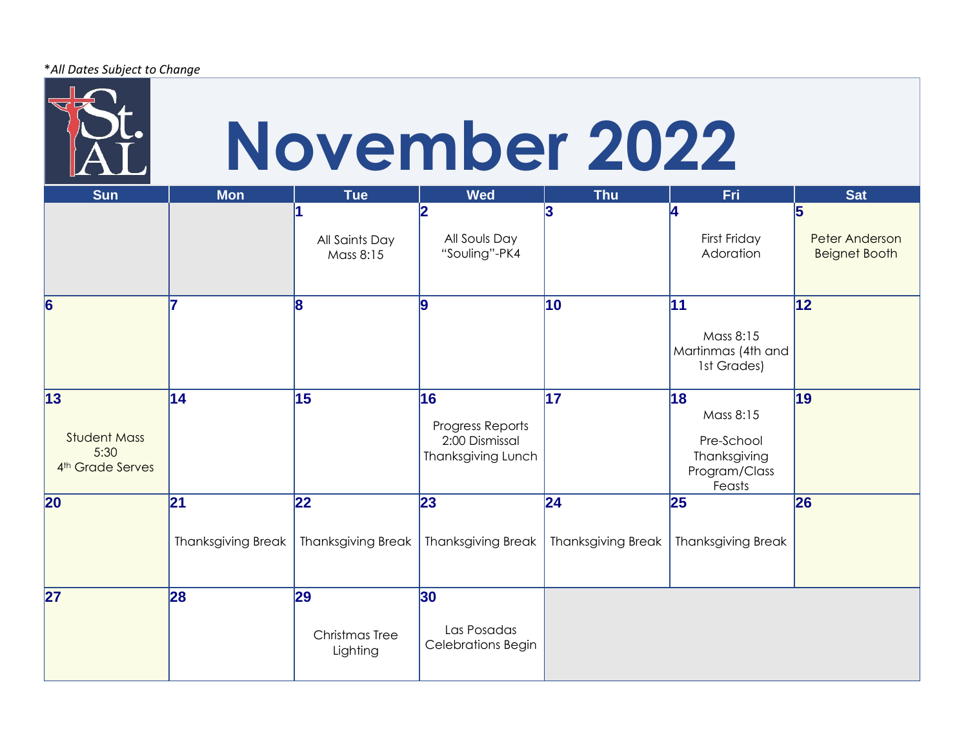\**All Dates Subject to Change*



## **November 2022**

| <b>Sun</b>                                                         | <b>Mon</b>                      | <b>Tue</b>                       | <b>Wed</b>                                                     | <b>Thu</b>                                   | Fri                                                                      | <b>Sat</b>                                         |
|--------------------------------------------------------------------|---------------------------------|----------------------------------|----------------------------------------------------------------|----------------------------------------------|--------------------------------------------------------------------------|----------------------------------------------------|
|                                                                    |                                 | All Saints Day<br>Mass 8:15      | 12<br>All Souls Day<br>"Souling"-PK4                           | 13                                           | First Friday<br>Adoration                                                | 5<br><b>Peter Anderson</b><br><b>Beignet Booth</b> |
| $\overline{6}$                                                     |                                 | 8                                | 9                                                              | 10                                           | 11<br>Mass 8:15<br>Martinmas (4th and<br>1st Grades)                     | 12                                                 |
| 13 <br><b>Student Mass</b><br>5:30<br>4 <sup>th</sup> Grade Serves | 14                              | 15                               | 16<br>Progress Reports<br>2:00 Dismissal<br>Thanksgiving Lunch | $\vert$ 17                                   | 18<br>Mass 8:15<br>Pre-School<br>Thanksgiving<br>Program/Class<br>Feasts | 19                                                 |
| $\overline{20}$                                                    | 21<br><b>Thanksgiving Break</b> | 22<br><b>Thanksgiving Break</b>  | 23 <br><b>Thanksgiving Break</b>                               | $\overline{24}$<br><b>Thanksgiving Break</b> | 25<br><b>Thanksgiving Break</b>                                          | 26                                                 |
| 27                                                                 | 28                              | 29<br>Christmas Tree<br>Lighting | 30 <br>Las Posadas<br>Celebrations Begin                       |                                              |                                                                          |                                                    |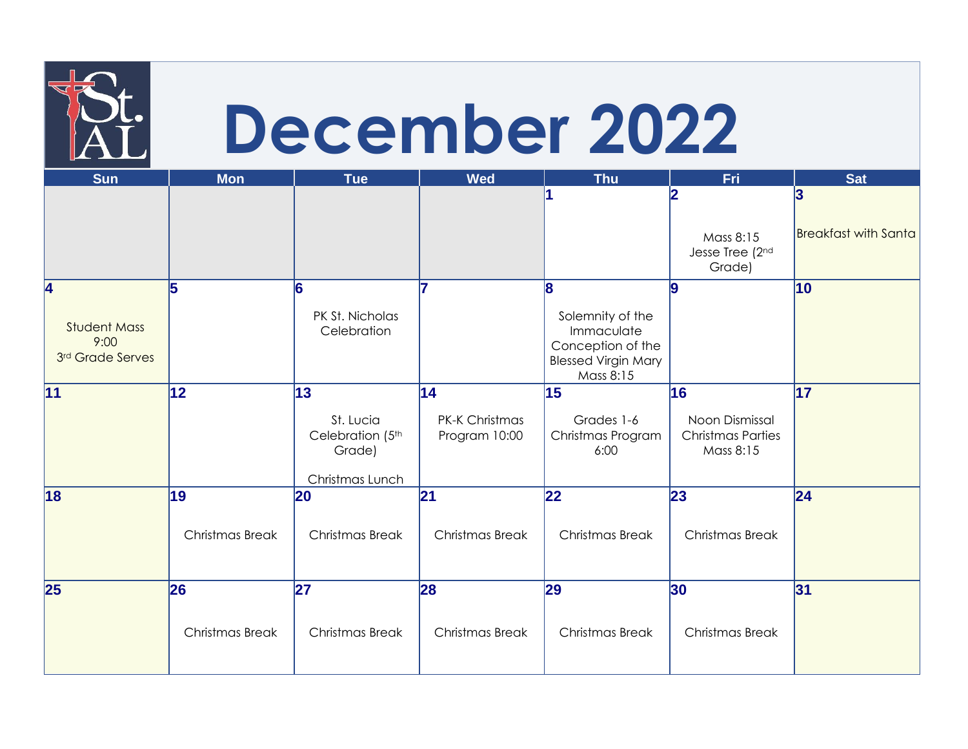|                                                 | December 2022          |                                                                  |                                              |                                                                                                |                                                               |                             |  |  |  |  |
|-------------------------------------------------|------------------------|------------------------------------------------------------------|----------------------------------------------|------------------------------------------------------------------------------------------------|---------------------------------------------------------------|-----------------------------|--|--|--|--|
| <b>Sun</b>                                      | <b>Mon</b>             | <b>Tue</b>                                                       | <b>Wed</b>                                   | <b>Thu</b>                                                                                     | Fri<br>$\overline{2}$                                         | <b>Sat</b><br>3             |  |  |  |  |
|                                                 |                        |                                                                  |                                              |                                                                                                |                                                               |                             |  |  |  |  |
|                                                 |                        |                                                                  |                                              |                                                                                                | Mass 8:15<br>Jesse Tree (2nd<br>Grade)                        | <b>Breakfast with Santa</b> |  |  |  |  |
| $\overline{\mathbf{4}}$                         | 5                      | 6                                                                | 7                                            | 8                                                                                              | 9                                                             | 10                          |  |  |  |  |
| <b>Student Mass</b><br>9:00<br>3rd Grade Serves |                        | PK St. Nicholas<br>Celebration                                   |                                              | Solemnity of the<br>Immaculate<br>Conception of the<br><b>Blessed Virgin Mary</b><br>Mass 8:15 |                                                               |                             |  |  |  |  |
| 11                                              | $ 12\rangle$           | 13<br>St. Lucia<br>Celebration (5th<br>Grade)<br>Christmas Lunch | 14<br><b>PK-K Christmas</b><br>Program 10:00 | 15<br>Grades 1-6<br>Christmas Program<br>6:00                                                  | 16<br>Noon Dismissal<br><b>Christmas Parties</b><br>Mass 8:15 | 17                          |  |  |  |  |
| 18                                              | 19                     | 20                                                               | 21                                           | 22                                                                                             | 23                                                            | 24                          |  |  |  |  |
|                                                 | Christmas Break        | Christmas Break                                                  | Christmas Break                              | Christmas Break                                                                                | Christmas Break                                               |                             |  |  |  |  |
| 25                                              | 26                     | 27                                                               | 28                                           | 29                                                                                             | 30                                                            | 31                          |  |  |  |  |
|                                                 | <b>Christmas Break</b> | <b>Christmas Break</b>                                           | Christmas Break                              | <b>Christmas Break</b>                                                                         | <b>Christmas Break</b>                                        |                             |  |  |  |  |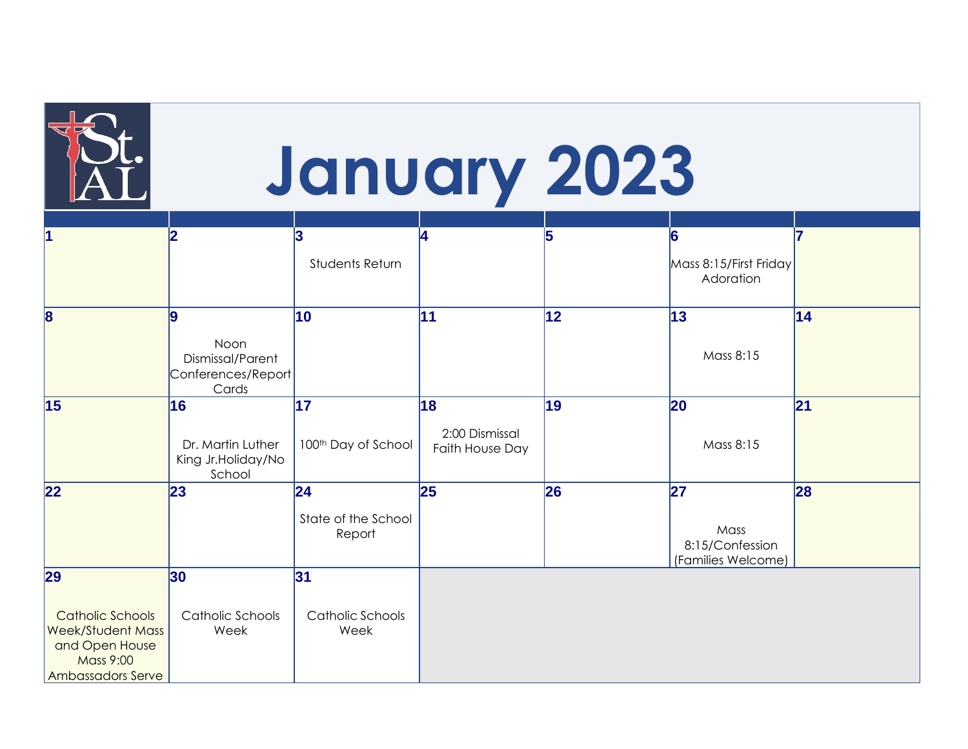|                                                                                                                      |                                                               |                                               |                                         | January 2023 |                                                     |    |
|----------------------------------------------------------------------------------------------------------------------|---------------------------------------------------------------|-----------------------------------------------|-----------------------------------------|--------------|-----------------------------------------------------|----|
| 1                                                                                                                    | 12                                                            | 3<br>Students Return                          | 4                                       | 5            | 6<br>Mass 8:15/First Friday<br>Adoration            | 17 |
| 8                                                                                                                    | Ι9<br>Noon<br>Dismissal/Parent<br>Conferences/Report<br>Cards | 10                                            | 11                                      | 12           | 13<br>Mass 8:15                                     | 14 |
| 15                                                                                                                   | 16<br>Dr. Martin Luther<br>King Jr. Holiday/No<br>School      | 17<br>100 <sup>th</sup> Day of School         | 18<br>2:00 Dismissal<br>Faith House Day | 19           | 20<br>Mass 8:15                                     | 21 |
| $\overline{22}$                                                                                                      | 23                                                            | $ 24\rangle$<br>State of the School<br>Report | 25                                      | 26           | 27<br>Mass<br>8:15/Confession<br>(Families Welcome) | 28 |
| 29<br><b>Catholic Schools</b><br><b>Week/Student Mass</b><br>and Open House<br><b>Mass 9:00</b><br>Ambassadors Serve | 30 <br>Catholic Schools<br>Week                               | 31<br>Catholic Schools<br>Week                |                                         |              |                                                     |    |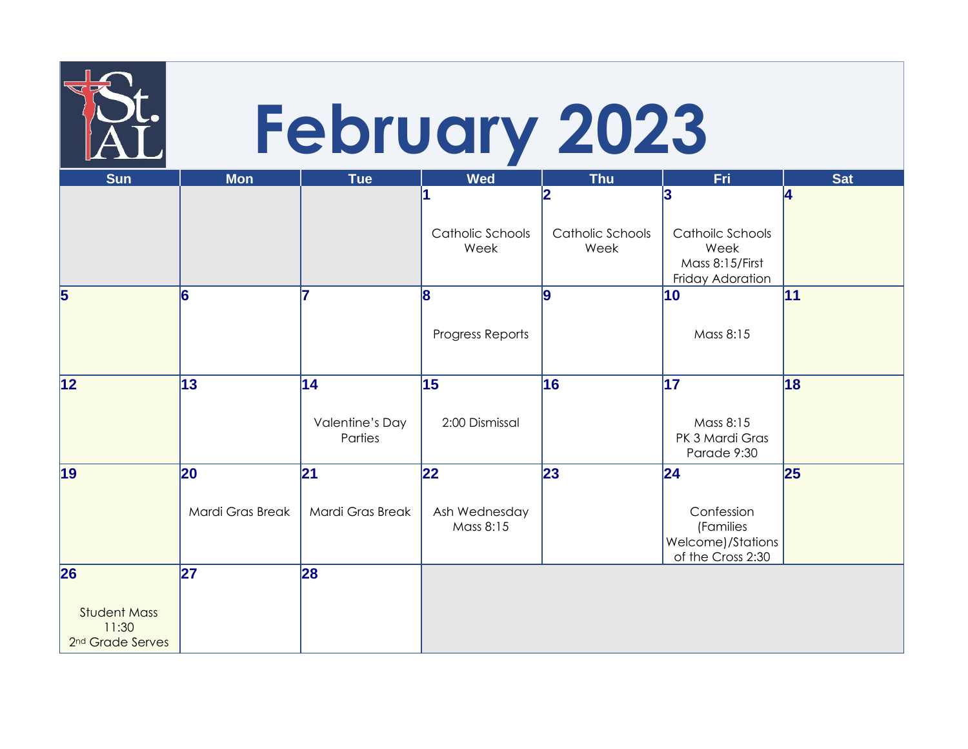|                                                              |                  |                                  |                                   | <b>February 2023</b>                       |                                                                      |                     |
|--------------------------------------------------------------|------------------|----------------------------------|-----------------------------------|--------------------------------------------|----------------------------------------------------------------------|---------------------|
| <b>Sun</b>                                                   | <b>Mon</b>       | <b>Tue</b>                       | <b>Wed</b>                        | <b>Thu</b>                                 | Fri                                                                  | Sat                 |
|                                                              |                  |                                  | Catholic Schools<br>Week          | $\overline{2}$<br>Catholic Schools<br>Week | 3<br>Cathoilc Schools<br>Week<br>Mass 8:15/First<br>Friday Adoration | $\overline{\bf{A}}$ |
| 5                                                            | 6                |                                  | 8<br>Progress Reports             | Ι9                                         | 10<br>Mass 8:15                                                      | $\vert$ 11          |
| 12                                                           | $\overline{13}$  | 14<br>Valentine's Day<br>Parties | $\overline{15}$<br>2:00 Dismissal | 16                                         | $\overline{17}$<br>Mass 8:15<br>PK 3 Mardi Gras<br>Parade 9:30       | 18                  |
| $\vert$ 19                                                   | 20               | 21                               | 22                                | 23                                         | 24                                                                   | 25                  |
|                                                              | Mardi Gras Break | Mardi Gras Break                 | Ash Wednesday<br>Mass 8:15        |                                            | Confession<br>(Families<br>Welcome)/Stations<br>of the Cross 2:30    |                     |
| 26                                                           | 27               | 28                               |                                   |                                            |                                                                      |                     |
| <b>Student Mass</b><br>11:30<br>2 <sup>nd</sup> Grade Serves |                  |                                  |                                   |                                            |                                                                      |                     |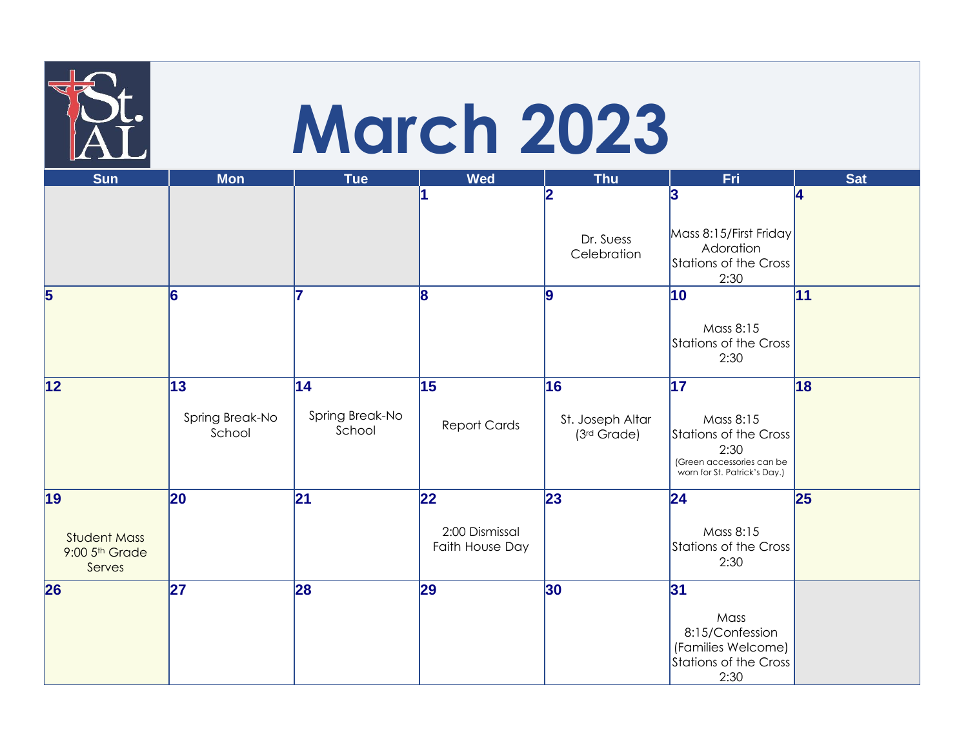## **March 2023**

| <b>Sun</b>                                             | <b>Mon</b>                      | <b>Tue</b>                       | <b>Wed</b>                              | <b>Thu</b>                            | Fri                                                                                                                   | <b>Sat</b> |
|--------------------------------------------------------|---------------------------------|----------------------------------|-----------------------------------------|---------------------------------------|-----------------------------------------------------------------------------------------------------------------------|------------|
|                                                        |                                 |                                  |                                         | 12<br>Dr. Suess<br>Celebration        | 3<br>Mass 8:15/First Friday<br>Adoration<br><b>Stations of the Cross</b><br>2:30                                      | 14         |
| $\overline{\mathbf{5}}$                                | 6                               | 7                                | 8                                       | lQ                                    | 10<br>Mass 8:15<br>Stations of the Cross<br>2:30                                                                      | 11         |
| 12                                                     | 13<br>Spring Break-No<br>School | 14 <br>Spring Break-No<br>School | 15<br><b>Report Cards</b>               | 16<br>St. Joseph Altar<br>(3rd Grade) | 17 <br>Mass 8:15<br><b>Stations of the Cross</b><br>2:30<br>(Green accessories can be<br>worn for St. Patrick's Day.) | 18         |
| 19 <br><b>Student Mass</b><br>9:00 5th Grade<br>Serves | 20                              | 21                               | 22<br>2:00 Dismissal<br>Faith House Day | 23                                    | 24 <br>Mass 8:15<br>Stations of the Cross<br>2:30                                                                     | 25         |
| 26                                                     | 27                              | 28                               | 29                                      | 30 <sub>o</sub>                       | 31<br>Mass<br>8:15/Confession<br>(Families Welcome)<br><b>Stations of the Cross</b><br>2:30                           |            |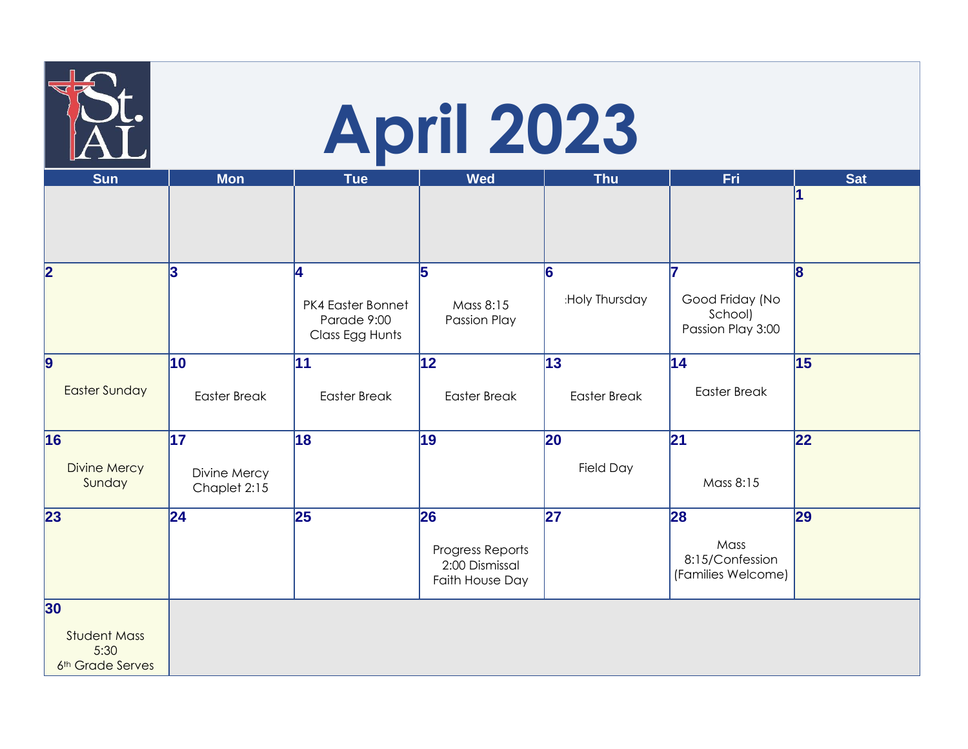|                                                 | <b>April 2023</b>            |                                                          |                                                       |                     |                                                       |              |  |  |
|-------------------------------------------------|------------------------------|----------------------------------------------------------|-------------------------------------------------------|---------------------|-------------------------------------------------------|--------------|--|--|
| <b>Sun</b>                                      | <b>Mon</b>                   | <b>Tue</b>                                               | <b>Wed</b>                                            | <b>Thu</b>          | Fri                                                   | <b>Sat</b>   |  |  |
|                                                 |                              |                                                          |                                                       |                     |                                                       |              |  |  |
| 2                                               | 3                            | 4<br>PK4 Easter Bonnet<br>Parade 9:00<br>Class Egg Hunts | 5<br>Mass 8:15<br>Passion Play                        | 6<br>:Holy Thursday | 17<br>Good Friday (No<br>School)<br>Passion Play 3:00 | $\mathbf{8}$ |  |  |
| $\overline{9}$                                  | 10                           | 11                                                       | $\overline{12}$                                       | 13                  | 14                                                    | 15           |  |  |
| <b>Easter Sunday</b>                            | <b>Easter Break</b>          | <b>Easter Break</b>                                      | <b>Easter Break</b>                                   | <b>Easter Break</b> | <b>Easter Break</b>                                   |              |  |  |
| 16                                              | 17                           | 18                                                       | 19                                                    | 20                  | 21                                                    | 22           |  |  |
| <b>Divine Mercy</b><br>Sunday                   | Divine Mercy<br>Chaplet 2:15 |                                                          |                                                       | Field Day           | Mass 8:15                                             |              |  |  |
| 23                                              | 24                           | 25                                                       | 26                                                    | 27                  | 28                                                    | 29           |  |  |
|                                                 |                              |                                                          | Progress Reports<br>2:00 Dismissal<br>Faith House Day |                     | Mass<br>8:15/Confession<br>(Families Welcome)         |              |  |  |
| 30 <sub>o</sub>                                 |                              |                                                          |                                                       |                     |                                                       |              |  |  |
| <b>Student Mass</b><br>5:30<br>6th Grade Serves |                              |                                                          |                                                       |                     |                                                       |              |  |  |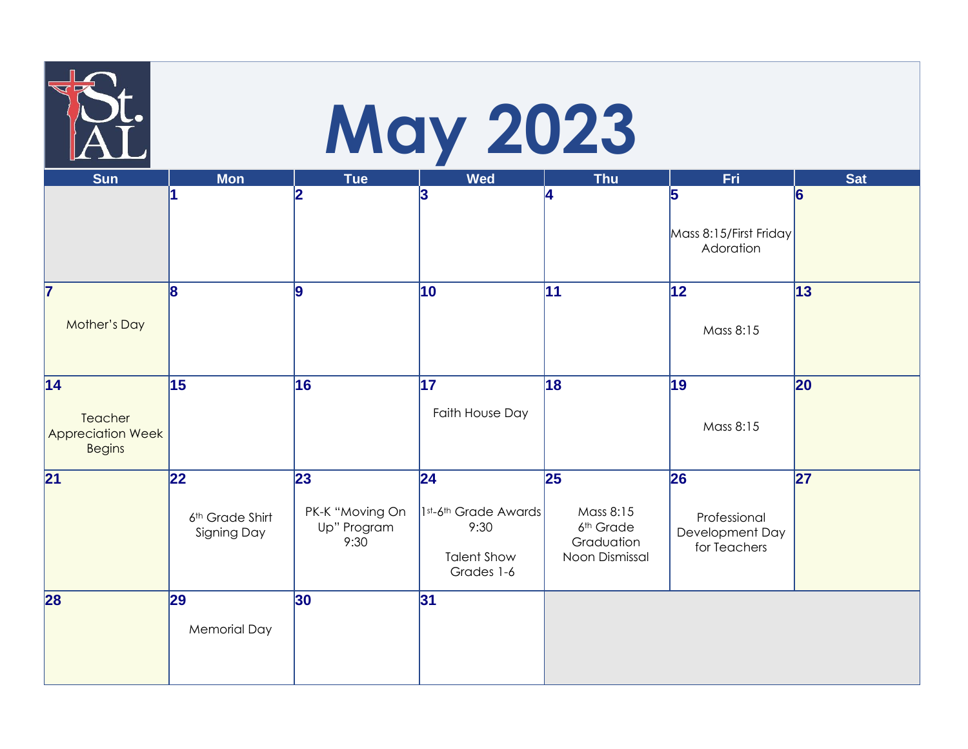|                                                      |                                       |                                        | <b>May 2023</b>                                                  |                                                                    |                                                 |                 |
|------------------------------------------------------|---------------------------------------|----------------------------------------|------------------------------------------------------------------|--------------------------------------------------------------------|-------------------------------------------------|-----------------|
| <b>Sun</b>                                           | <b>Mon</b><br>1                       | <b>Tue</b><br>$\overline{2}$           | <b>Wed</b><br>3                                                  | <b>Thu</b><br>14.                                                  | Fri<br>5                                        | <b>Sat</b>      |
|                                                      |                                       |                                        |                                                                  |                                                                    | Mass 8:15/First Friday<br>Adoration             |                 |
| 17                                                   | 8                                     | 9                                      | 10                                                               | $\overline{11}$                                                    | $\overline{12}$                                 | $\overline{13}$ |
| <b>Mother's Day</b>                                  |                                       |                                        |                                                                  |                                                                    | Mass 8:15                                       |                 |
| 14                                                   | 15                                    | 16                                     | 17                                                               | 18                                                                 | 19                                              | 20              |
| Teacher<br><b>Appreciation Week</b><br><b>Begins</b> |                                       |                                        | Faith House Day                                                  |                                                                    | Mass 8:15                                       |                 |
| 21                                                   | 22                                    | 23                                     | 24                                                               | 25                                                                 | 26                                              | 27              |
|                                                      | 6th Grade Shirt<br><b>Signing Day</b> | PK-K "Moving On<br>Up" Program<br>9:30 | 1st-6th Grade Awards<br>9:30<br><b>Talent Show</b><br>Grades 1-6 | Mass 8:15<br>6 <sup>th</sup> Grade<br>Graduation<br>Noon Dismissal | Professional<br>Development Day<br>for Teachers |                 |
| 28                                                   | 29                                    | 30                                     | 31                                                               |                                                                    |                                                 |                 |
|                                                      | <b>Memorial Day</b>                   |                                        |                                                                  |                                                                    |                                                 |                 |